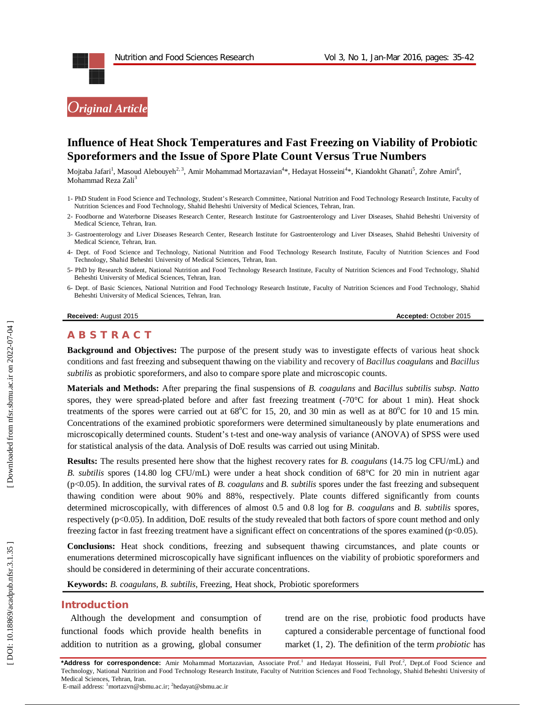

# **Influence of Heat Shock Temperatures and Fast Freezing on Viability of Probiotic Sporeformers and the Issue of Spore Plate Count Versus True Numbers**

Mojtaba Jafari<sup>1</sup>, Masoud Alebouyeh<sup>2, 3</sup>, Amir Mohammad Mortazavian<sup>4</sup>\*, Hedayat Hosseini<sup>4</sup>\*, Kiandokht Ghanati<sup>5</sup>, Zohre Amiri<sup>6</sup>, Mohammad Reza Zali 3

- 1 PhD Student in Food Science and Technology, Student's Research Committee, National Nutrition and Food Technology Research Institute, Faculty of Nutrition Sciences and Food Technology, Shahid Beheshti University of Medical Sciences, Tehran, Iran .
- 2 Foodborne and Waterborne Diseases Research Center, Research Institute for Gastroenterology and Liver Diseases, Shahid Beheshti University of Medical Science, Tehran, Iran.
- 3 Gastroenterology and Liver Diseases Research Center, Research Institute for Gastroenterology and Liver Diseases, Shahid Beheshti University of Medical Science, Tehran, Iran.
- 4 Dept. of Food Science and Technology, National Nutrition and Food Technology Research Institute, Faculty of Nutrition Sciences and Food Technology, Shahid Beheshti University of Medical Sciences, Tehran, Iran .
- 5 PhD by Research Student, National Nutrition and Food Technology Research Institute, Faculty of Nutrition Sciences and Food Technology, Shahid Beheshti University of Medical Sciences, Tehran, Iran.
- 6 Dept. of Basic Sciences, National Nutrition and Food Technology Research Institute, Faculty of Nutrition Sciences and Food Technology, Shahid Beheshti University of Medical Sciences, Tehran, Iran .

#### **Received:** August 201

#### 5 **Accepted:** October 201 5

# **A B S T R A C T**

**Background and Objectives:** The purpose of the present study was to investigate effects of various heat shock conditions and fast freezing and subsequent thawing on the viability and recovery of *Bacillus coagulans* and *Bacillus subtilis* as probiotic sporeformers, and also to compare spore plate and microscopic counts.

**Materials and Methods:** After preparing the final suspensions of *B. coagulans* and *Bacillus subtilis subsp. Natto*  spores, they were spread-plated before and after fast freezing treatment (-70°C for about 1 min). Heat shock treatments of the spores were carried out at  $68^{\circ}$ C for 15, 20, and 30 min as well as at  $80^{\circ}$ C for 10 and 15 min. Concentrations of the examined probiotic sporeformers were determined simultaneously by plate enumerations and microscopically determined counts. Student's t -test and one -way analysis of variance (ANOVA) of SPSS were used for statistical analysis of the data. Analysis of DoE results was carried out using Minitab.

**Results:** The results presented here show that the highest recovery rates for *B. coagulans* (14.75 log CFU/mL) and *B. subtilis* spores (14.80 log CFU/mL) were under a heat shock condition of 68°C for 20 min in nutrient agar (p<0.05). In addition, the survival rates of *B. coagulans* and *B. subtilis* spores under the fast freezing and subsequent thawing condition were about 90% and 88%, respectively. Plate counts differed significantly from counts determined microscopically, with differences of almost 0.5 and 0.8 log for *B. coagulans* and *B. subtilis* spores, respectively (p<0.05). In addition, DoE results of the study revealed that both factors of spore count method and only freezing factor in fast freezing treatment have a significant effect on concentrations of the spores examined ( $p<0.05$ ).

**Conclusions:** Heat shock conditions, freezing and subsequent thawing circumstances, and plate counts or enumerations determined microscopically have significant influences on the viability of probiotic sporeformers and should be considered in determining of their accurate concentrations.

**Keywords:** *B. coagulans, B. subtilis*, Freezing, Heat shock, Probiotic sporeformers

#### **Introduction**

Although the development and consumption of functional foods which provide health benefits in addition to nutrition as a growing, global consumer trend are on the rise, probiotic food products have captured a considerable percentage of functional food market (1, 2). The definition of the term *probiotic* has

\*Address for correspondence: Amir Mohammad Mortazavian, Associate Prof.<sup>1</sup> and Hedayat Hosseini, Full Prof.<sup>2</sup>, Dept.of Food Science and Technology, National Nutrition and Food Technology Research Institute, Faculty of Nutrition Sciences and Food Technology, Shahid Beheshti University of Medical Sciences, Tehran, Iran .

E-mail address: <sup>1</sup>mortazvn@sbmu.ac.ir; <sup>2</sup>hedayat@sbmu.ac.ir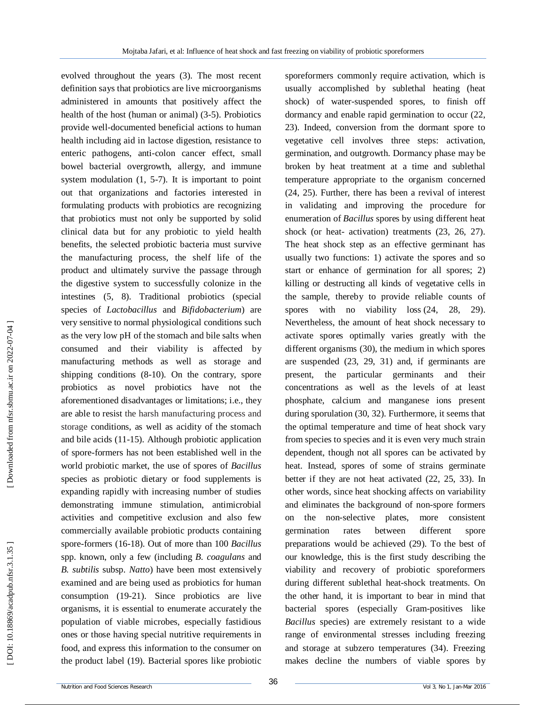evolved throughout the years (3). The most recent definition says that probiotics are live microorganisms administered in amounts that positively affect the health of the host (human or animal) (3 -5). Probiotics provide well -documented beneficial actions to human health including aid in lactose digestion, resistance to enteric pathogens, anti -colon cancer effect, small bowel bacterial overgrowth, allergy, and immune system modulation  $(1, 5-7)$ . It is important to point out that organizations and factories interested in formulating products with probiotics are recognizing that probiotics must not only be supported by solid clinical data but for any probiotic to yield health benefits, the selected probiotic bacteria must survive the manufacturing process, the shelf life of the product and ultimately survive the passage through the digestive system to successfully colonize in the intestines (5, 8). Traditional probiotics (special species of *Lactobacillus* and *Bifidobacterium* ) are very sensitive to normal physiological conditions such as the very low pH of the stomach and bile salts when consumed and their viability is affected by manufacturing methods as well as storage and shipping conditions (8 -10). On the contrary, spore probiotics as novel probiotics have not the aforementioned disadvantages or limitations; i.e., they are able to resist the harsh manufacturing process and storage conditions, as well as acidity of the stomach and bile acids (11 -15). Although probiotic application of spore -formers has not been established well in the world probiotic market, the use of spores of *Bacillus*  species as probiotic dietary or food supplements is expanding rapidly with increasing number of studies demonstrating immune stimulation, antimicrobial activities and competitive exclusion and also few commercially available probiotic products containing spore -formers (16 -18). Out of more than 100 *Bacillus* spp. known, only a few (including *B. coagulans* and *B. subtilis* subsp. *Natto* ) have been most extensively examined and are being used as probiotics for human consumption (19 -21). Since probiotics are live organisms, it is essential to enumerate accurately the population of viable microbes, especially fastidious ones or those having special nutritive requirements in food, and express this information to the consumer on the product label (19). Bacterial spores like probiotic

sporeformers commonly require activation, which is usually accomplished by sublethal heating (heat shock) of water -suspended spores, to finish off dormancy and enable rapid germination to occur (22, 23). Indeed, conversion from the dormant spore to vegetative cell involves three steps: activation, germination, and outgrowth. Dormancy phase may be broken by heat treatment at a time and sublethal temperature appropriate to the organism concerned (24, 25). Further, there has been a revival of interest in validating and improving the procedure for enumeration of *Bacillus* spores by using different heat shock (or heat- activation) treatments  $(23, 26, 27)$ . The heat shock step as an effective germinant has usually two functions: 1) activate the spores and so start or enhance of germination for all spores; 2) killing or destructing all kinds of vegetative cells in the sample, thereby to provide reliable counts of spores with no viability loss  $(24, 28, 29)$ . Nevertheless, the amount of heat shock necessary to activate spores optimally varies greatly with the different organisms (30), the medium in which spores are suspended (23, 29, 31) and, if germinants are present, the particular germinants and their concentrations as well as the levels of at least phosphate, calcium and manganese ions present during sporulation (30, 32). Furthermore, it seems that the optimal temperature and time of heat shock vary from species to species and it is even very much strain dependent, though not all spores can be activated by heat. Instead, spores of some of strains germinate better if they are not heat activated (22, 25, 33). In other words, since heat shocking affects on variability and eliminates the background of non -spore formers on the non -selective plates, more consistent germination rates between different spore preparations would be achieved (29). To the best of our knowledge, this is the first study describing the viability and recovery of probiotic sporeformers during different sublethal heat -shock treatments. On the other hand, it is important to bear in mind that bacterial spores (especially Gram -positives like *Bacillus* species) are extremely resistant to a wide range of environmental stresses including freezing and storage at subzero temperatures (34). Freezing makes decline the numbers of viable spores by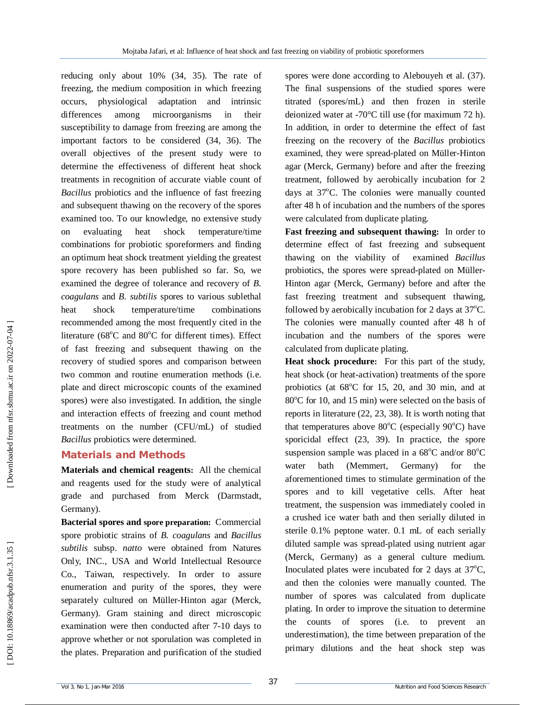reducing only about 10% (34, 35). The rate of freezing, the medium composition in which freezing occurs, physiological adaptation and intrinsic differences among microorganisms in their susceptibility to damage from freezing are among the important factors to be considered (34, 36). The overall objectives of the present study were to determine the effectiveness of different heat shock treatments in recognition of accurate viable count of *Bacillus* probiotics and the influence of fast freezing and subsequent thawing on the recovery of the spores examined too. To our knowledge, no extensive study on evaluating heat shock temperature/time combinations for probiotic sporeformers and finding an optimum heat shock treatment yielding the greatest spore recovery has been published so far. So, we examined the degree of tolerance and recovery of *B. coagulans* and *B. subtilis* spores to various sublethal heat shock temperature/time combinations recommended among the most frequently cited in the literature (68°C and 80°C for different times). Effect of fast freezing and subsequent thawing on the recovery of studied spores and comparison between two common and routine enumeration methods (i.e. plate and direct microscopic counts of the examined spores) were also investigated. In addition, the single and interaction effects of freezing and count method treatments on the number (CFU/mL) of studied *Bacillus* probiotics were determined.

# **Materials and Methods**

**Materials and chemical reagents:** All the chemical and reagents used for the study were of analytical grade and purchased from Merck (Darmstadt, Germany).

**Bacterial spores and spore preparation:** Commercial spore probiotic strains of *B. coagulans* and *Bacillus subtilis* subsp. *natto* were obtained from Natures Only, INC., USA and World Intellectual Resource Co., Taiwan, respectively. In order to assure enumeration and purity of the spores, they were separately cultured on Müller -Hinton agar (Merck, Germany). Gram staining and direct microscopic examination were then conducted after 7 -10 days to approve whether or not sporulation was completed in the plates. Preparation and purification of the studied

spores were done according to Alebouyeh et al. (37). The final suspensions of the studied spores were titrated (spores/mL) and then frozen in sterile deionized water at -70°C till use (for maximum 72 h). In addition, in order to determine the effect of fast freezing on the recovery of the *Bacillus* probiotics examined, they were spread -plated on Müller -Hinton agar (Merck, Germany) before and after the freezing treatment, followed by aerobically incubation for 2 days at 37°C. The colonies were manually counted after 48 h of incubation and the numbers of the spores were calculated from duplicate plating.

**Fast freezing and subsequent thawing:** In order to determine effect of fast freezing and subsequent thawing on the viability of examined *Bacillus* probiotics, the spores were spread -plated on Müller - Hinton agar (Merck, Germany) before and after the fast freezing treatment and subsequent thawing, followed by aerobically incubation for 2 days at  $37^{\circ}$ C. The colonies were manually counted after 48 h of incubation and the numbers of the spores were calculated from duplicate plating.

**Heat shock procedure:** For this part of the study, heat shock (or heat -activation) treatments of the spore probiotics (at 68°C for 15, 20, and 30 min, and at 80°C for 10, and 15 min) were selected on the basis of reports in literature (22, 23, 38). It is worth noting that that temperatures above  $80^{\circ}$ C (especially  $90^{\circ}$ C) have sporicidal effect (23, 39). In practice, the spore suspension sample was placed in a  $68^{\circ}$ C and/or  $80^{\circ}$ C water bath (Memmert, Germany) for the aforementioned times to stimulate germination of the spores and to kill vegetative cells. After heat treatment, the suspension was immediately cooled in a crushed ice water bath and then serially diluted in sterile 0.1% peptone water. 0.1 mL of each serially diluted sample was spread -plated using nutrient agar (Merck, Germany) as a general culture medium. Inoculated plates were incubated for 2 days at  $37^{\circ}$ C, and then the colonies were manually counted. The number of spores was calculated from duplicate plating. In order to improve the situation to determine the counts of spores (i.e. to prevent an underestimation), the time between preparation of the primary dilutions and the heat shock step was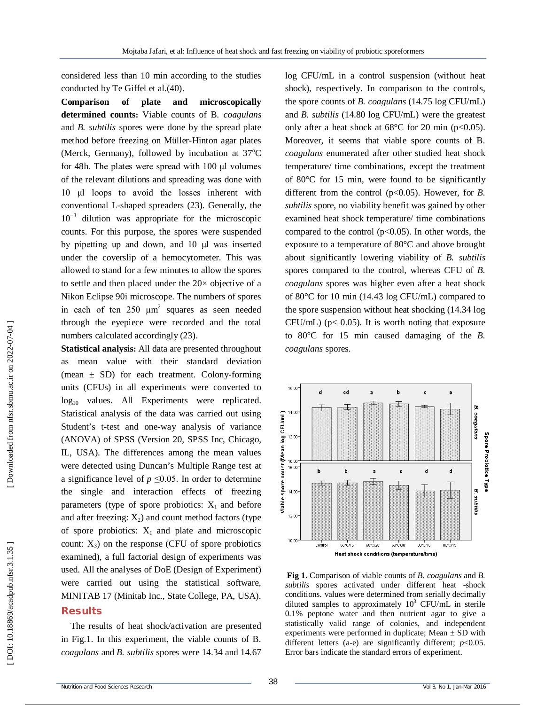considered less than 10 min according to the studies conducted by Te Giffel et al.(40).

**Comparison of plate and microscopically determined counts:**  Viable counts of B*. coagulans*  and *B. subtilis* spores were done by the spread plate method before freezing on Müller -Hinton agar plates (Merck, Germany), followed by incubation at  $37^{\circ}$ C for 48h. The plates were spread with 100 μl volumes of the relevant dilutions and spreading was done with 10 μl loops to avoid the losses inherent with conventional L -shaped spreaders (23). Generally, the 10<sup>-3</sup> dilution was appropriate for the microscopic counts. For this purpose, the spores were suspended by pipetting up and down, and 10 μl was inserted under the coverslip of a hemocytometer. This was allowed to stand for a few minutes to allow the spores to settle and then placed under the 20× objective of a Nikon Eclipse 90i microscope. The numbers of spores in each of ten  $250 \mu m^2$  squares as seen needed through the eyepiece were recorded and the total numbers calculated accordingly  $(23)$ .

**Statistical analysis:** All data are presented throughout as mean value with their standard deviation (mean  $\pm$  SD) for each treatment. Colony-forming units (CFUs) in all experiments were converted to log<sub>10</sub> values. All Experiments were replicated. Statistical analysis of the data was carried out using Student's t -test and one -way analysis of variance (ANOVA) of SPSS (Version 20, SPSS Inc, Chicago, IL, USA). The differences among the mean values were detected using Duncan's Multiple Range test at a significance level of  $p \leq 0.05$ . In order to determine the single and interaction effects of freezing parameters (type of spore probiotics:  $X_1$  and before and after freezing:  $X_2$ ) and count method factors (type of spore probiotics:  $X_1$  and plate and microscopic count:  $X_3$ ) on the response (CFU of spore probiotics examined), a full factorial design of experiments was used. All the analyses of DoE (Design of Experiment) were carried out using the statistical software, MINITAB 17 (Minitab Inc., State College, PA, USA).

### **Results**

The results of heat shock/activation are presented in Fig.1. In this experiment, the viable counts of B*. coagulans* and *B. subtilis* spores were 14.34 and 14.67

log CFU/mL in a control suspension (without heat shock), respectively. In comparison to the controls, the spore counts of *B. coagulans* (14.75 log CFU/mL) and *B. subtilis* (14.80 log CFU/mL) were the greatest only after a heat shock at  $68^{\circ}$ C for 20 min (p<0.05). Moreover, it seems that viable spore counts of B*. coagulans* enumerated after other studied heat shock temperature/ time combinations, except the treatment of 80°C for 15 min, were found to be significantly different from the control (p<0.05). However, for *B*. *subtilis* spore, no viability benefit was gained by other examined heat shock temperature/ time combinations compared to the control  $(p<0.05)$ . In other words, the exposure to a temperature of 80°C and above brought about significantly lowering viability of *B. subtilis*  spores compared to the control, whereas CFU of *B. coagulans* spores was higher even after a heat shock of 80°C for 10 min (14.43 log CFU/mL) compared to the spore suspension without heat shocking (14.34 log  $CFU/mL$ ) ( $p < 0.05$ ). It is worth noting that exposure to 80°C for 15 min caused damaging of the *B. coagulans* spores.



**Fig 1 .** Comparison of viable counts of *B. coagulans* and *B.*  subtilis spores activated under different heat -shock conditions. values were determined from serially decimally diluted samples to approximately  $10^3$  CFU/mL in sterile 0.1% peptone water and then nutrient agar to give a statistically valid range of colonies, and independent experiments were performed in duplicate; Mean  $\pm$  SD with different letters (a-e) are significantly different;  $p<0.05$ . Error bars indicate the standard errors of experiment.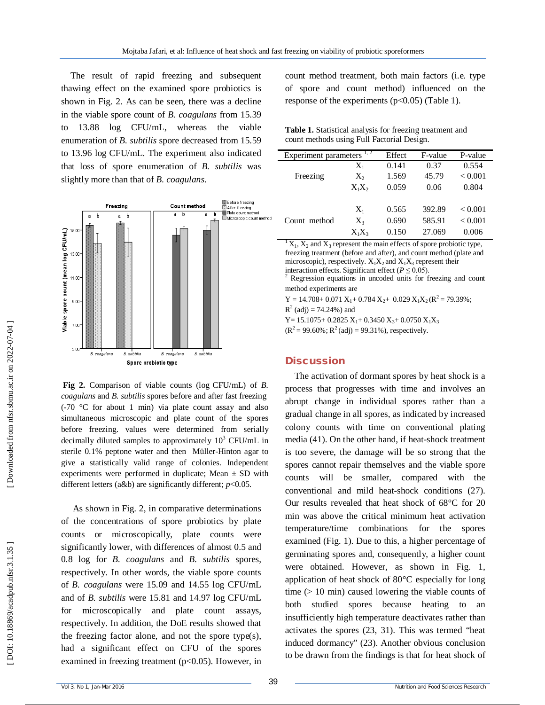The result of rapid freezing and subsequent thawing effect on the examined spore probiotics is shown in Fig. 2. As can be seen, there was a decline in the viable spore count of *B. coagulans* from 15.39 to 13.88 log CFU/mL, whereas the viable enumeration of *B. subtilis* spore decreased from 15.59 to 13.96 log CFU/mL. The experiment also indicated that loss of spore enumeration of *B. subtilis* was slightly more than that of *B. coagulans* .



**Fig 2 .** Comparison of viable counts (log CFU/mL) of *B. coagulans* and *B. subtilis* spores before and after fast freezing (-70 °C for about 1 min) via plate count assay and also simultaneous microscopic and plate count of the spores before freezing. values were determined from serially decimally diluted samples to approximately  $10^3$  CFU/mL in sterile 0.1% peptone water and then Müller -Hinton agar to give a statistically valid range of colonies. Independent experiments were performed in duplicate; Mean  $\pm$  SD with different letters (a&b) are significantly different; *p* <0.05.

As shown in Fig. 2, in comparative determinations of the concentrations of spore probiotics by plate counts or microscopically, plate counts were significantly lower, with differences of almost 0.5 and 0.8 log for *B. coagulans* and *B. subtilis* spores, respectively. In other words, the viable spore counts of *B. coagulans* were 15.09 and 14.55 log CFU/mL and of *B. subtilis* were 15.81 and 14.97 log CFU/mL for microscopically and plate count assays, respectively. In addition, the DoE results showed that the freezing factor alone, and not the spore type(s), had a significant effect on CFU of the spores examined in freezing treatment ( $p<0.05$ ). However, in count method treatment, both main factors (i.e. type of spore and count method) influenced on the response of the experiments  $(p<0.05)$  (Table 1).

**Table 1.** Statistical analysis for freezing treatment and count methods using Full Factorial Design .

| 1, 2<br>Experiment parameters |          | Effect | F-value | P-value |
|-------------------------------|----------|--------|---------|---------|
| Freezing                      | $X_1$    | 0.141  | 0.37    | 0.554   |
|                               | $X_2$    | 1.569  | 45.79   | < 0.001 |
|                               | $X_1X_2$ | 0.059  | 0.06    | 0.804   |
|                               |          |        |         |         |
| Count method                  | $X_1$    | 0.565  | 392.89  | < 0.001 |
|                               | $X_3$    | 0.690  | 585.91  | < 0.001 |
|                               | $X_1X_3$ | 0.150  | 27.069  | 0.006   |

 ${}^{1}X_{1}$ ,  $X_{2}$  and  $X_{3}$  represent the main effects of spore probiotic type, freezing treatment (before and after), and count method (plate and microscopic), respectively.  $X_1X_2$  and  $X_1X_3$  represent their interaction effects. Significant effect ( $P \leq 0.05$ ).

<sup>2</sup> Regression equations in uncoded units for freezing and count method experiments are

 $Y = 14.708 + 0.071 X_1 + 0.784 X_2 + 0.029 X_1 X_2 (R^2 = 79.39\%);$ 

 $R^2$  (adj) = 74.24%) and

 $Y = 15.1075 + 0.2825 X_1 + 0.3450 X_3 + 0.0750 X_1 X_3$ 

 $(R^2 = 99.60\%$ ;  $R^2$  (adj) = 99.31%), respectively.

### **Discussion**

The activation of dormant spores by heat shock is a process that progresses with time and involves an abrupt change in individual spores rather than a gradual change in all spores, as indicated by increased colony counts with time on conventional plating media (41). On the other hand, if heat-shock treatment is too severe, the damage will be so strong that the spores cannot repair themselves and the viable spore counts will be smaller, compared with the conventional and mild heat -shock conditions (27). Our results revealed that heat shock of 68°C for 20 min was above the critical minimum heat activation temperature/time combinations for the spores examined (Fig. 1). Due to this, a higher percentage of germinating spores and, consequently, a higher count were obtained. However, as shown in Fig. 1, application of heat shock of 80°C especially for long time (> 10 min) caused lowering the viable counts of both studied spores because heating to an insufficiently high temperature deactivates rather than activates the spores (23, 31). This was termed "heat induced dormancy" (23). Another obvious conclusion to be drawn from the findings is that for heat shock of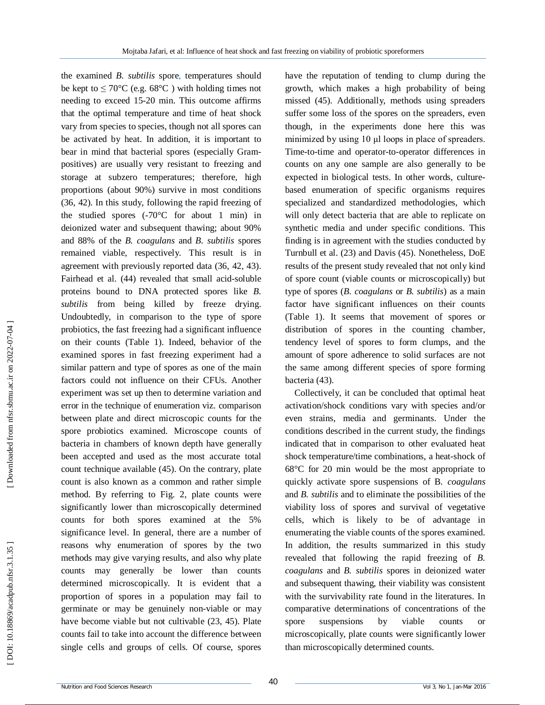the examined *B. subtilis* spore, temperatures should be kept to  $\leq 70^{\circ}$ C (e.g. 68°C) with holding times not needing to exceed 15 -20 min. This outcome affirms that the optimal temperature and time of heat shock vary from species to species, though not all spores can be activated by heat. In addition, it is important to bear in mind that bacterial spores (especially Gram positives) are usually very resistant to freezing and storage at subzero temperatures; therefore, high proportions (about 90%) survive in most conditions (36, 42). In this study, following the rapid freezing of the studied spores  $(-70^{\circ}C)$  for about 1 min) in deionized water and subsequent thawing; about 90% and 88% of the *B. coagulans* and *B. subtilis* spores remained viable, respectively. This result is in agreement with previously reported data (36, 42, 43). Fairhead et al. (44) revealed that small acid-soluble proteins bound to DNA protected spores like *B. subtilis* from being killed by freeze drying. Undoubtedly, in comparison to the type of spore probiotics, the fast freezing had a significant influence on their counts (Table 1). Indeed, behavior of the examined spores in fast freezing experiment had a similar pattern and type of spores as one of the main factors could not influence on their CFUs. Another experiment was set up then to determine variation and error in the technique of enumeration viz. comparison between plate and direct microscopic counts for the spore probiotics examined. Microscope counts of bacteria in chambers of known depth have generally been accepted and used as the most accurate total count technique available (45). On the contrary, plate count is also known as a common and rather simple method. By referring to Fig. 2, plate counts were significantly lower than microscopically determined counts for both spores examined at the 5% significance level . In general, there are a number of reasons why enumeration of spores by the two methods may give varying results, and also why plate counts may generally be lower than counts determined microscopically. It is evident that a proportion of spores in a population may fail to germinate or may be genuinely non -viable or may have become viable but not cultivable (23, 45). Plate counts fail to take into account the difference between single cells and groups of cells. Of course, spores

have the reputation of tending to clump during the growth, which makes a high probability of being missed (45). Additionally, methods using spreaders suffer some loss of the spores on the spreaders, even though, in the experiments done here this was minimized by using 10 μl loops in place of spreaders. Time -to -time and operator -to -operator differences in counts on any one sample are also generally to be expected in biological tests. In other words, culture based enumeration of specific organisms requires specialized and standardized methodologies, which will only detect bacteria that are able to replicate on synthetic media and under specific conditions. This finding is in agreement with the studies conducted by Turnbull et al. (23) and Davis (45). Nonetheless, DoE results of the present study revealed that not only kind of spore count (viable counts or microscopically) but type of spores (*B. coagulans* or *B. subtilis*) as a main factor have significant influences on their counts (Table 1). It seems that movement of spores or distribution of spores in the counting chamber, tendency level of spores to form clumps, and the amount of spore adherence to solid surfaces are not the same among different species of spore forming bacteria (43).

Collectively , it can be concluded that optimal heat activation/shock conditions vary with species and/or even strains, media and germinants. Under the conditions described in the current study, the findings indicated that in comparison to other evaluated heat shock temperature/time combinations, a heat -shock of 68°C for 20 min would be the most appropriate to quickly activate spore suspensions of B*. coagulans* and *B. subtilis* and to eliminate the possibilities of the viability loss of spores and survival of vegetative cells, which is likely to be of advantage in enumerating the viable counts of the spores examined. In addition, the results summarized in this study revealed that following the rapid freezing of *B. coagulans* and *B. subtilis* spores in deionized water and subsequent thawing, their viability was consistent with the survivability rate found in the literatures. In comparative determinations of concentrations of the spore suspensions by viable counts or microscopically, plate counts were significantly lower than microscopically determined counts.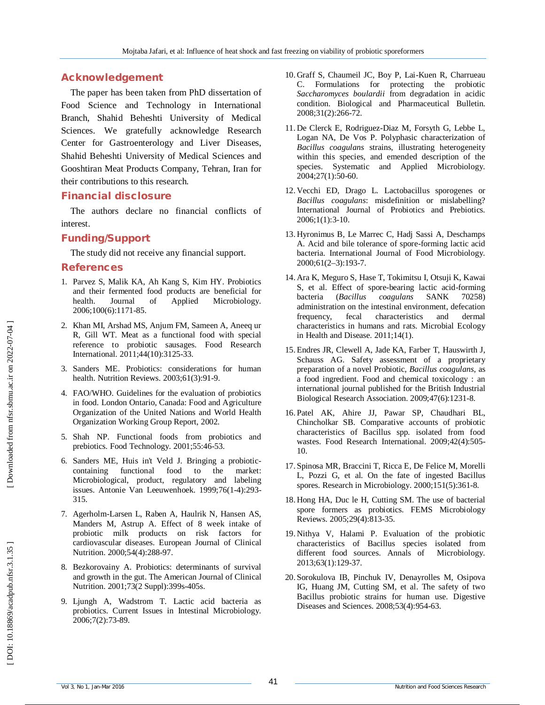## **Acknowledgement**

The paper has been taken from PhD dissertation of Food Science and Technology in International Branch, Shahid Beheshti University of Medical Sciences. We gratefully acknowledge Research Center for Gastroenterology and Liver Diseases, Shahid Beheshti University of Medical Sciences and Gooshtiran Meat Products Company, Tehran, Iran for their contributions to this research .

## **Financial disclosure**

The authors declare no financial conflicts of interest.

# **Funding/Support**

The study did not receive any financial support.

### **References**

- 1. Parvez S, Malik KA, Ah Kang S, Kim HY. Probiotics and their fermented food products are beneficial for health. Journal of Applied Microbiology. 2006;100(6):1171 -85.
- 2. Khan MI, Arshad MS, Anjum FM, Sameen A, Aneeq ur R, Gill WT. Meat as a functional food with special reference to probiotic sausages. Food Research International. 2011;44(10):3125 -33.
- 3. Sanders ME. Probiotics: considerations for human health. Nutrition Reviews. 2003;61(3):91 -9.
- 4. FAO/WHO. Guidelines for the evaluation of probiotics in food. London Ontario, Canada: Food and Agriculture Organization of the United Nations and World Health Organization Working Group Report, 2002.
- 5. Shah NP. Functional foods from probiotics and prebiotics. Food Technology. 2001;55:46 -53.
- 6. Sanders ME, Huis in't Veld J. Bringing a probiotic containing functional food to the market: Microbiological, product, regulatory and labeling issues. Antonie Van Leeuwenhoek. 1999;76(1 -4):293 - 315.
- 7. Agerholm -Larsen L, Raben A, Haulrik N, Hansen AS, Manders M, Astrup A. Effect of 8 week intake of probiotic milk products on risk factors for cardiovascular diseases. European Journal of Clinical Nutrition. 2000;54(4):288 -97.
- 8. Bezkorovainy A. Probiotics: determinants of survival and growth in the gut. The American Journal of Clinical Nutrition. 2001;73(2 Suppl):399s -405s.
- 9. Ljungh A, Wadstrom T. Lactic acid bacteria as probiotics. Current Issues in Intestinal Microbiology. 2006;7(2):73 -89.
- 10. Graff S, Chaumeil JC, Boy P, Lai -Kuen R, Charrueau C. Formulations for protecting the probiotic *Saccharomyces boulardii* from degradation in acidic condition. Biological and Pharmaceutical Bulletin. 2008;31(2):266 -72.
- 11. De Clerck E, Rodriguez -Diaz M, Forsyth G, Lebbe L, Logan NA, De Vos P. Polyphasic characterization of *Bacillus coagulans* strains, illustrating heterogeneity within this species, and emended description of the species. Systematic and Applied Microbiology. 2004;27(1):50 -60.
- 12. Vecchi ED, Drago L. Lactobacillus sporogenes or *Bacillus coagulans*: misdefinition or mislabelling? International Journal of Probiotics and Prebiotics. 2006;1(1):3 -10.
- 13. Hyronimus B, Le Marrec C, Hadj Sassi A, Deschamps A. Acid and bile tolerance of spore -forming lactic acid bacteria. International Journal of Food Microbiology. 2000;61(2 –3):193 -7.
- 14. Ara K, Meguro S, Hase T, Tokimitsu I, Otsuji K, Kawai S, et al. Effect of spore -bearing lactic acid -forming bacteria (*Bacillus coagulans* SANK 70258) administration on the intestinal environment, defecation frequency, fecal characteristics and dermal characteristics in humans and rats. Microbial Ecology in Health and Disease. 2011;14(1).
- 15. Endres JR, Clewell A, Jade KA, Farber T, Hauswirth J, Schauss AG. Safety assessment of a proprietary preparation of a novel Probiotic, *Bacillus coagulans*, as a food ingredient. Food and chemical toxicology : an international journal published for the British Industrial Biological Research Association. 2009;47(6):1231 -8.
- 16. Patel AK, Ahire JJ, Pawar SP, Chaudhari BL, Chincholkar SB. Comparative accounts of probiotic characteristics of Bacillus spp. isolated from food wastes. Food Research International. 2009;42(4):505 - 10.
- 17. Spinosa MR, Braccini T, Ricca E, De Felice M, Morelli L, Pozzi G, et al. On the fate of ingested Bacillus spores. Research in Microbiology. 2000;151(5):361 -8.
- 18. Hong HA, Duc le H, Cutting SM. The use of bacterial spore formers as probiotics. FEMS Microbiology Reviews. 2005;29(4):813 -35.
- 19. Nithya V, Halami P. Evaluation of the probiotic characteristics of Bacillus species isolated from different food sources. Annals of Microbiology. 2013;63(1):129 -37.
- 20. Sorokulova IB, Pinchuk IV, Denayrolles M, Osipova IG, Huang JM, Cutting SM, et al. The safety of two Bacillus probiotic strains for human use. Digestive Diseases and Sciences. 2008;53(4):954 -63.